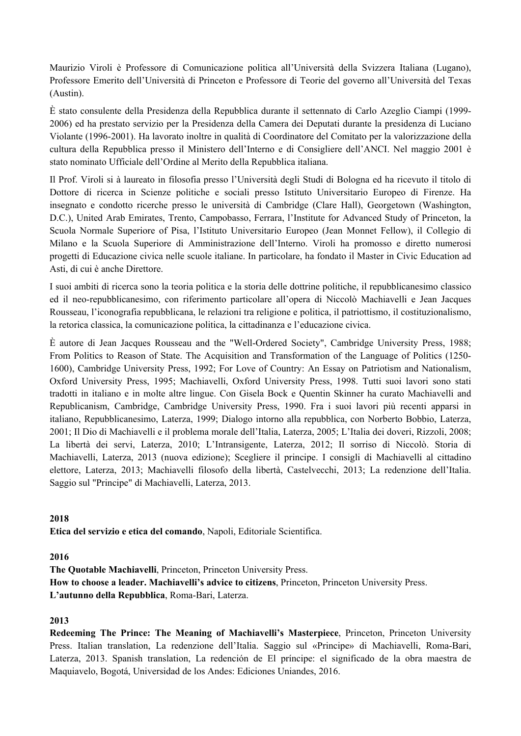Maurizio Viroli è Professore di Comunicazione politica all'Università della Svizzera Italiana (Lugano), Professore Emerito dell'Università di Princeton e Professore di Teorie del governo all'Università del Texas (Austin).

È stato consulente della Presidenza della Repubblica durante il settennato di Carlo Azeglio Ciampi (1999- 2006) ed ha prestato servizio per la Presidenza della Camera dei Deputati durante la presidenza di Luciano Violante (1996-2001). Ha lavorato inoltre in qualità di Coordinatore del Comitato per la valorizzazione della cultura della Repubblica presso il Ministero dell'Interno e di Consigliere dell'ANCI. Nel maggio 2001 è stato nominato Ufficiale dell'Ordine al Merito della Repubblica italiana.

Il Prof. Viroli si à laureato in filosofia presso l'Università degli Studi di Bologna ed ha ricevuto il titolo di Dottore di ricerca in Scienze politiche e sociali presso Istituto Universitario Europeo di Firenze. Ha insegnato e condotto ricerche presso le università di Cambridge (Clare Hall), Georgetown (Washington, D.C.), United Arab Emirates, Trento, Campobasso, Ferrara, l'Institute for Advanced Study of Princeton, la Scuola Normale Superiore of Pisa, l'Istituto Universitario Europeo (Jean Monnet Fellow), il Collegio di Milano e la Scuola Superiore di Amministrazione dell'Interno. Viroli ha promosso e diretto numerosi progetti di Educazione civica nelle scuole italiane. In particolare, ha fondato il Master in Civic Education ad Asti, di cui è anche Direttore.

I suoi ambiti di ricerca sono la teoria politica e la storia delle dottrine politiche, il repubblicanesimo classico ed il neo-repubblicanesimo, con riferimento particolare all'opera di Niccolò Machiavelli e Jean Jacques Rousseau, l'iconografia repubblicana, le relazioni tra religione e politica, il patriottismo, il costituzionalismo, la retorica classica, la comunicazione politica, la cittadinanza e l'educazione civica.

È autore di Jean Jacques Rousseau and the "Well-Ordered Society", Cambridge University Press, 1988; From Politics to Reason of State. The Acquisition and Transformation of the Language of Politics (1250- 1600), Cambridge University Press, 1992; For Love of Country: An Essay on Patriotism and Nationalism, Oxford University Press, 1995; Machiavelli, Oxford University Press, 1998. Tutti suoi lavori sono stati tradotti in italiano e in molte altre lingue. Con Gisela Bock e Quentin Skinner ha curato Machiavelli and Republicanism, Cambridge, Cambridge University Press, 1990. Fra i suoi lavori più recenti apparsi in italiano, Repubblicanesimo, Laterza, 1999; Dialogo intorno alla repubblica, con Norberto Bobbio, Laterza, 2001; Il Dio di Machiavelli e il problema morale dell'Italia, Laterza, 2005; L'Italia dei doveri, Rizzoli, 2008; La libertà dei servi, Laterza, 2010; L'Intransigente, Laterza, 2012; Il sorriso di Niccolò. Storia di Machiavelli, Laterza, 2013 (nuova edizione); Scegliere il principe. I consigli di Machiavelli al cittadino elettore, Laterza, 2013; Machiavelli filosofo della libertà, Castelvecchi, 2013; La redenzione dell'Italia. Saggio sul "Principe" di Machiavelli, Laterza, 2013.

# **2018**

**Etica del servizio e etica del comando**, Napoli, Editoriale Scientifica.

# **2016**

**The Quotable Machiavelli**, Princeton, Princeton University Press. **How to choose a leader. Machiavelli's advice to citizens**, Princeton, Princeton University Press. **L'autunno della Repubblica**, Roma-Bari, Laterza.

# **2013**

**Redeeming The Prince: The Meaning of Machiavelli's Masterpiece**, Princeton, Princeton University Press. Italian translation, La redenzione dell'Italia. Saggio sul «Principe» di Machiavelli, Roma-Bari, Laterza, 2013. Spanish translation, La redención de El príncipe: el significado de la obra maestra de Maquiavelo, Bogotá, Universidad de los Andes: Ediciones Uniandes, 2016.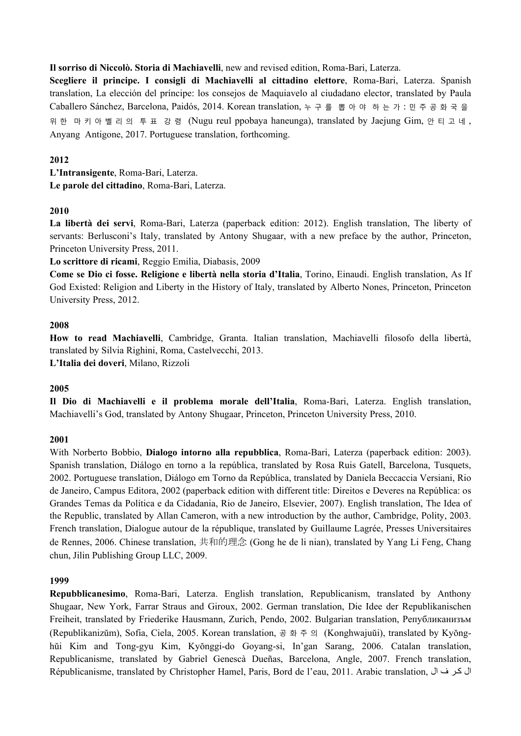## **Il sorriso di Niccolò. Storia di Machiavelli**, new and revised edition, Roma-Bari, Laterza.

**Scegliere il principe. I consigli di Machiavelli al cittadino elettore**, Roma-Bari, Laterza. Spanish translation, La elección del príncipe: los consejos de Maquiavelo al ciudadano elector, translated by Paula Caballero Sánchez, Barcelona, Paidós, 2014. Korean translation, 누구를 뽑아야 하는가 : 민주공화국을 위 한 마키아벨리의 투 표 강 령 (Nugu reul ppobaya haneunga), translated by Jaejung Gim, 안티고네 , Anyang Antigone, 2017. Portuguese translation, forthcoming.

## **2012**

**L'Intransigente**, Roma-Bari, Laterza. **Le parole del cittadino**, Roma-Bari, Laterza.

## **2010**

**La libertà dei servi**, Roma-Bari, Laterza (paperback edition: 2012). English translation, The liberty of servants: Berlusconi's Italy, translated by Antony Shugaar, with a new preface by the author, Princeton, Princeton University Press, 2011.

**Lo scrittore di ricami**, Reggio Emilia, Diabasis, 2009

**Come se Dio ci fosse. Religione e libertà nella storia d'Italia**, Torino, Einaudi. English translation, As If God Existed: Religion and Liberty in the History of Italy, translated by Alberto Nones, Princeton, Princeton University Press, 2012.

## **2008**

**How to read Machiavelli**, Cambridge, Granta. Italian translation, Machiavelli filosofo della libertà, translated by Silvia Righini, Roma, Castelvecchi, 2013. **L'Italia dei doveri**, Milano, Rizzoli

### **2005**

**Il Dio di Machiavelli e il problema morale dell'Italia**, Roma-Bari, Laterza. English translation, Machiavelli's God, translated by Antony Shugaar, Princeton, Princeton University Press, 2010.

# **2001**

With Norberto Bobbio, **Dialogo intorno alla repubblica**, Roma-Bari, Laterza (paperback edition: 2003). Spanish translation, Diálogo en torno a la república, translated by Rosa Ruis Gatell, Barcelona, Tusquets, 2002. Portuguese translation, Diálogo em Torno da República, translated by Daniela Beccaccia Versiani, Rio de Janeiro, Campus Editora, 2002 (paperback edition with different title: Direitos e Deveres na República: os Grandes Temas da Política e da Cidadania, Rio de Janeiro, Elsevier, 2007). English translation, The Idea of the Republic, translated by Allan Cameron, with a new introduction by the author, Cambridge, Polity, 2003. French translation, Dialogue autour de la république, translated by Guillaume Lagrée, Presses Universitaires de Rennes, 2006. Chinese translation, 共和的理念 (Gong he de li nian), translated by Yang Li Feng, Chang chun, Jilin Publishing Group LLC, 2009.

### **1999**

**Repubblicanesimo**, Roma-Bari, Laterza. English translation, Republicanism, translated by Anthony Shugaar, New York, Farrar Straus and Giroux, 2002. German translation, Die Idee der Republikanischen Freiheit, translated by Friederike Hausmann, Zurich, Pendo, 2002. Bulgarian translation, Републиканизъм (Republikanizŭm), Sofia, Ciela, 2005. Korean translation, 공화주의 (Konghwajuŭi), translated by Kyŏnghŭi Kim and Tong-gyu Kim, Kyŏnggi-do Goyang-si, In'gan Sarang, 2006. Catalan translation, Republicanisme, translated by Gabriel Genescà Dueñas, Barcelona, Angle, 2007. French translation, Républicanisme, translated by Christopher Hamel, Paris, Bord de l'eau, 2011. Arabic translation, ال كر ف ال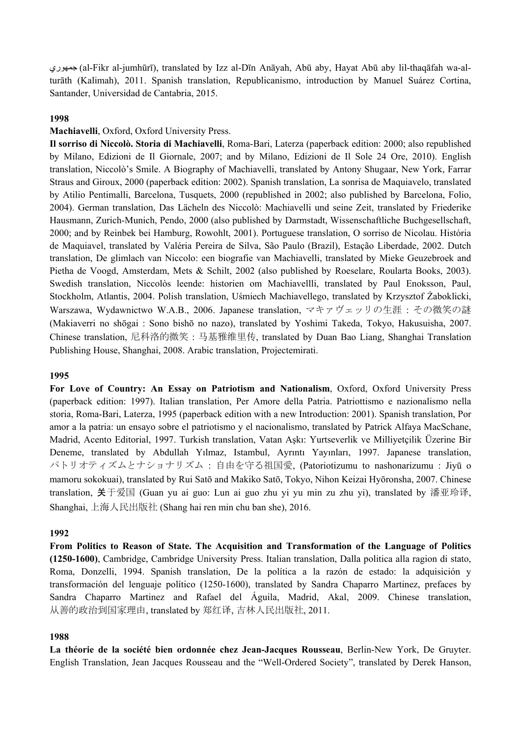جمهوري) al-Fikr al-jumhūrī), translated by Izz al-Dīn Anāyah, Abū aby, Hayat Abū aby lil-thaqāfah wa-alturāth (Kalimah), 2011. Spanish translation, Republicanismo, introduction by Manuel Suárez Cortina, Santander, Universidad de Cantabria, 2015.

### **1998**

#### **Machiavelli**, Oxford, Oxford University Press.

**Il sorriso di Niccolò. Storia di Machiavelli**, Roma-Bari, Laterza (paperback edition: 2000; also republished by Milano, Edizioni de Il Giornale, 2007; and by Milano, Edizioni de Il Sole 24 Ore, 2010). English translation, Niccolò's Smile. A Biography of Machiavelli, translated by Antony Shugaar, New York, Farrar Straus and Giroux, 2000 (paperback edition: 2002). Spanish translation, La sonrisa de Maquiavelo, translated by Atilio Pentimalli, Barcelona, Tusquets, 2000 (republished in 2002; also published by Barcelona, Folio, 2004). German translation, Das Lächeln des Niccolò: Machiavelli und seine Zeit, translated by Friederike Hausmann, Zurich-Munich, Pendo, 2000 (also published by Darmstadt, Wissenschaftliche Buchgesellschaft, 2000; and by Reinbek bei Hamburg, Rowohlt, 2001). Portuguese translation, O sorriso de Nicolau. História de Maquiavel, translated by Valéria Pereira de Silva, São Paulo (Brazil), Estação Liberdade, 2002. Dutch translation, De glimlach van Niccolo: een biografie van Machiavelli, translated by Mieke Geuzebroek and Pietha de Voogd, Amsterdam, Mets & Schilt, 2002 (also published by Roeselare, Roularta Books, 2003). Swedish translation, Niccolòs leende: historien om Machiavellli, translated by Paul Enoksson, Paul, Stockholm, Atlantis, 2004. Polish translation, Uśmiech Machiavellego, translated by Krzysztof Żaboklicki, Warszawa, Wydawnictwo W.A.B., 2006. Japanese translation, マキァヴェッリの生涯 : その微笑の謎 (Makiaverri no shōgai : Sono bishō no nazo), translated by Yoshimi Takeda, Tokyo, Hakusuisha, 2007. Chinese translation, 尼科洛的微笑 : 马基雅维里传, translated by Duan Bao Liang, Shanghai Translation Publishing House, Shanghai, 2008. Arabic translation, Projectemirati.

#### **1995**

**For Love of Country: An Essay on Patriotism and Nationalism**, Oxford, Oxford University Press (paperback edition: 1997). Italian translation, Per Amore della Patria. Patriottismo e nazionalismo nella storia, Roma-Bari, Laterza, 1995 (paperback edition with a new Introduction: 2001). Spanish translation, Por amor a la patria: un ensayo sobre el patriotismo y el nacionalismo, translated by Patrick Alfaya MacSchane, Madrid, Acento Editorial, 1997. Turkish translation, Vatan Aşkı: Yurtseverlik ve Milliyetçilik Üzerine Bir Deneme, translated by Abdullah Yılmaz, Istambul, Ayrıntı Yayınları, 1997. Japanese translation, パトリオティズムとナショナリズム : 自由を守る祖国愛, (Patoriotizumu to nashonarizumu : Jiyū o mamoru sokokuai), translated by Rui Satō and Makiko Satō, Tokyo, Nihon Keizai Hyōronsha, 2007. Chinese translation, 关于爱国 (Guan yu ai guo: Lun ai guo zhu yi yu min zu zhu yi), translated by 潘亚玲译, Shanghai, 上海人民出版社 (Shang hai ren min chu ban she), 2016.

#### **1992**

**From Politics to Reason of State. The Acquisition and Transformation of the Language of Politics (1250-1600)**, Cambridge, Cambridge University Press. Italian translation, Dalla politica alla ragion di stato, Roma, Donzelli, 1994. Spanish translation, De la política a la razón de estado: la adquisición y transformación del lenguaje político (1250-1600), translated by Sandra Chaparro Martinez, prefaces by Sandra Chaparro Martinez and Rafael del Águila, Madrid, Akal, 2009. Chinese translation, 从善的政治到国家理由, translated by 郑红译, 吉林人民出版社, 2011.

#### **1988**

**La théorie de la société bien ordonnée chez Jean-Jacques Rousseau**, Berlin-New York, De Gruyter. English Translation, Jean Jacques Rousseau and the "Well-Ordered Society", translated by Derek Hanson,